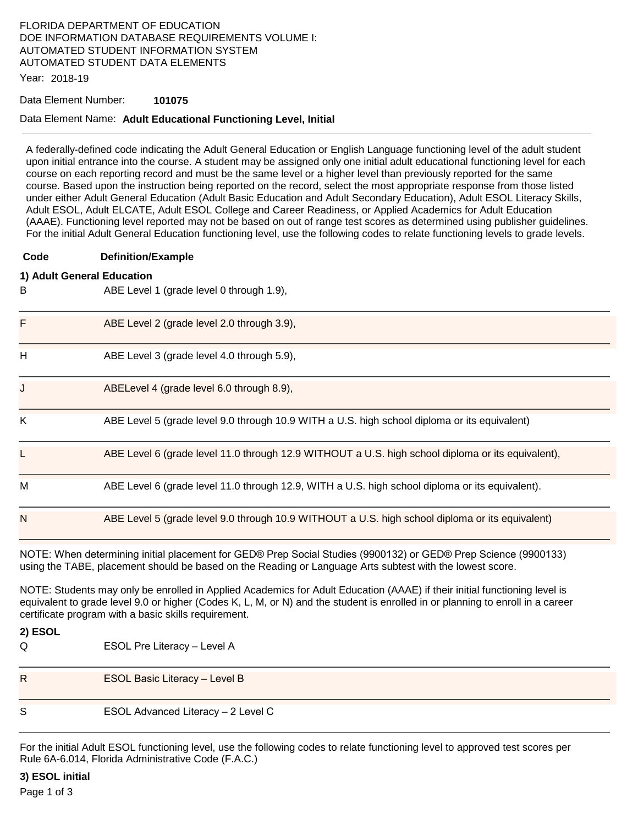# FLORIDA DEPARTMENT OF EDUCATION DOE INFORMATION DATABASE REQUIREMENTS VOLUME I: AUTOMATED STUDENT INFORMATION SYSTEM AUTOMATED STUDENT DATA ELEMENTS

Year: 2018-19

#### Data Element Number: **101075**

### Data Element Name: **Adult Educational Functioning Level, Initial**

A federally-defined code indicating the Adult General Education or English Language functioning level of the adult student upon initial entrance into the course. A student may be assigned only one initial adult educational functioning level for each course on each reporting record and must be the same level or a higher level than previously reported for the same course. Based upon the instruction being reported on the record, select the most appropriate response from those listed under either Adult General Education (Adult Basic Education and Adult Secondary Education), Adult ESOL Literacy Skills, Adult ESOL, Adult ELCATE, Adult ESOL College and Career Readiness, or Applied Academics for Adult Education (AAAE). Functioning level reported may not be based on out of range test scores as determined using publisher guidelines. For the initial Adult General Education functioning level, use the following codes to relate functioning levels to grade levels.

**Code Definition/Example** 

### **1) Adult General Education**

B ABE Level 1 (grade level 0 through 1.9), F ABE Level 2 (grade level 2.0 through 3.9), H ABE Level 3 (grade level 4.0 through 5.9), J ABELevel 4 (grade level 6.0 through 8.9), K ABE Level 5 (grade level 9.0 through 10.9 WITH a U.S. high school diploma or its equivalent) ABE Level 6 (grade level 11.0 through 12.9 WITHOUT a U.S. high school diploma or its equivalent), M ABE Level 6 (grade level 11.0 through 12.9, WITH a U.S. high school diploma or its equivalent). N ABE Level 5 (grade level 9.0 through 10.9 WITHOUT a U.S. high school diploma or its equivalent)

NOTE: When determining initial placement for GED® Prep Social Studies (9900132) or GED® Prep Science (9900133) using the TABE, placement should be based on the Reading or Language Arts subtest with the lowest score.

NOTE: Students may only be enrolled in Applied Academics for Adult Education (AAAE) if their initial functioning level is equivalent to grade level 9.0 or higher (Codes K, L, M, or N) and the student is enrolled in or planning to enroll in a career certificate program with a basic skills requirement.

**2) ESOL** 

Q ESOL Pre Literacy – Level A

R ESOL Basic Literacy – Level B

S ESOL Advanced Literacy – 2 Level C

For the initial Adult ESOL functioning level, use the following codes to relate functioning level to approved test scores per Rule 6A-6.014, Florida Administrative Code (F.A.C.)

**3) ESOL initial** 

Page 1 of 3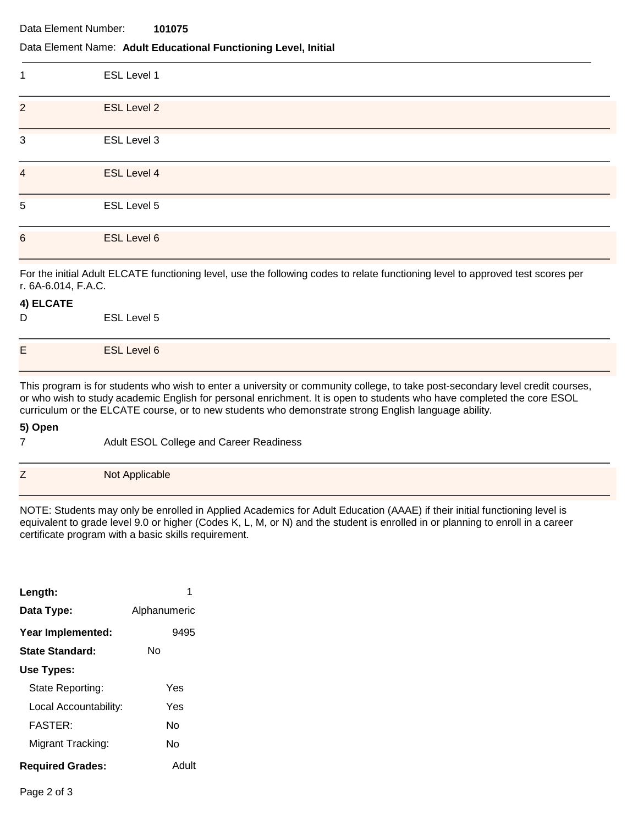Data Element Number: **101075** 

### Data Element Name: **Adult Educational Functioning Level, Initial**

| 1                         | ESL Level 1        |
|---------------------------|--------------------|
| $\overline{2}$            | <b>ESL Level 2</b> |
| $\ensuremath{\mathsf{3}}$ | ESL Level 3        |
| $\overline{\mathbf{4}}$   | ESL Level 4        |
| 5                         | ESL Level 5        |
| $6\phantom{1}$            | ESL Level 6        |

For the initial Adult ELCATE functioning level, use the following codes to relate functioning level to approved test scores per r. 6A-6.014, F.A.C.

### **4) ELCATE**

| D | ESL Level 5        |
|---|--------------------|
| E | <b>ESL Level 6</b> |

This program is for students who wish to enter a university or community college, to take post-secondary level credit courses, or who wish to study academic English for personal enrichment. It is open to students who have completed the core ESOL curriculum or the ELCATE course, or to new students who demonstrate strong English language ability.

### **5) Open**

| -<br>$\angle$ | Not Applicable |
|---------------|----------------|

NOTE: Students may only be enrolled in Applied Academics for Adult Education (AAAE) if their initial functioning level is equivalent to grade level 9.0 or higher (Codes K, L, M, or N) and the student is enrolled in or planning to enroll in a career certificate program with a basic skills requirement.

| Length:                 |              |
|-------------------------|--------------|
| Data Type:              | Alphanumeric |
| Year Implemented:       | 9495         |
| <b>State Standard:</b>  | N٥           |
| Use Types:              |              |
| State Reporting:        | Yes          |
| Local Accountability:   | Yes          |
| <b>FASTER:</b>          | N٥           |
| Migrant Tracking:       | N٥           |
| <b>Required Grades:</b> | Adult        |

7 Adult ESOL College and Career Readiness